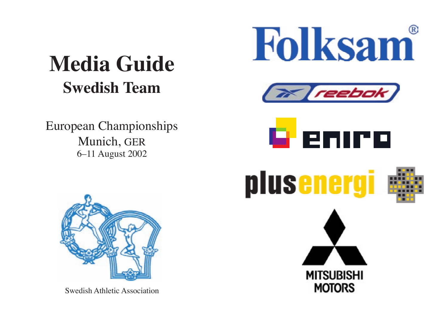# **Media Guide Swedish Team**

European Championships Munich, GER 6–11 August 2002





Swedish Athletic Association





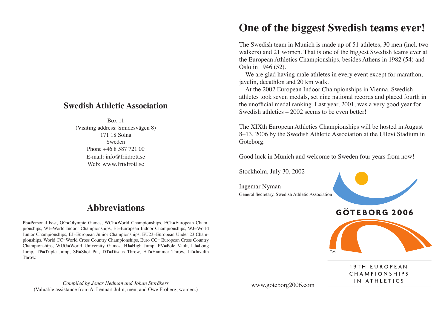#### **Swedish Athletic Association**

Box 11 (Visiting address: Smidesvägen 8) 171 18 Solna Sweden Phone +46 8 587 721 00 E-mail: info@friidrott.se Web: www.friidrott.se

### **Abbreviations**

Pb=Personal best, OG=Olympic Games, WCh=World Championships, ECh=European Championships, WI=World Indoor Championships, EI=European Indoor Championships, WJ=World Junior Championships, EJ=European Junior Championships, EU23=European Under 23 Championships, World CC=World Cross Country Championships, Euro CC= European Cross Country Championships, WUG=World University Games, HJ=High Jump, PV=Pole Vault, LJ=Long Jump, TP=Triple Jump, SP=Shot Put, DT=Discus Throw, HT=Hammer Throw, JT=Javelin Throw.

## The Swedish team in Munich is made up of 51 athletes, 30 men (incl. two

walkers) and 21 women. That is one of the biggest Swedish teams ever at the European Athletics Championships, besides Athens in 1982 (54) and Oslo in 1946 (52).

**One of the biggest Swedish teams ever!**

We are glad having male athletes in every event except for marathon, javelin, decathlon and 20 km walk.

 At the 2002 European Indoor Championships in Vienna, Swedish athletes took seven medals, set nine national records and placed fourth in the unofficial medal ranking. Last year, 2001, was a very good year for Swedish athletics – 2002 seems to be even better!

The XIXth European Athletics Championships will be hosted in August 8–13, 2006 by the Swedish Athletic Association at the Ullevi Stadium in Göteborg.

Good luck in Munich and welcome to Sweden four years from now!

Stockholm, July 30, 2002

Ingemar Nyman General Secretary, Swedish Athletic Association



19TH EUROPEAN **CHAMPIONSHIPS** IN ATHLETICS

*Compiled by Jonas Hedman and Johan Storåkers* (Valuable assistance from A. Lennart Julin, men, and Owe Fröberg, women.)

www.goteborg2006.com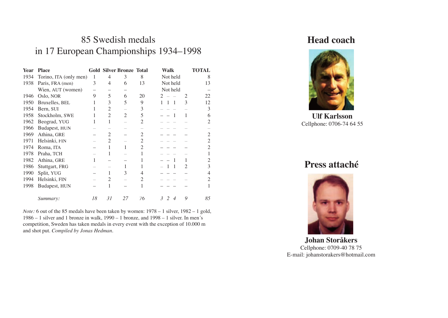## 85 Swedish medals in 17 European Championships 1934–1998

| <b>Year</b> | <b>Place</b>           |    |                | <b>Gold Silver Bronze Total</b> |                             | <b>Walk</b>                   | <b>TOTAL</b> |
|-------------|------------------------|----|----------------|---------------------------------|-----------------------------|-------------------------------|--------------|
| 1934        | Torino, ITA (only men) | 1  | 4              | 3                               | 8                           | Not held                      | 8            |
| 1938        | Paris, FRA (men)       | 3  | 4              | 6                               | 13                          | Not held                      | 13           |
|             | Wien, AUT (women)      |    |                |                                 |                             | Not held                      |              |
| 1946        | Oslo, NOR              | 9  | 5              | 6                               | 20                          | 2<br>2                        | 22           |
| 1950        | Bruxelles, BEL         | 1  | 3              | 5                               | 9                           | 3<br>1<br>$\overline{1}$<br>1 | 12           |
| 1954        | Bern, SUI              |    | 2              |                                 | 3                           |                               | 3            |
| 1958        | Stockholm, SWE         |    | $\overline{2}$ | $\overline{2}$                  | 5                           | 1                             | 6            |
| 1962        | Beograd, YUG           | 1  | 1              |                                 | 2                           |                               | 2            |
| 1966        | Budapest, HUN          |    |                |                                 |                             |                               |              |
| 1969        | Athina, GRE            |    | 2              |                                 | 2                           |                               | 2            |
| 1971        | Helsinki, FIN          |    | $\overline{2}$ |                                 | $\overline{2}$              |                               | 2            |
| 1974        | Roma, ITA              |    | 1              | 1                               | $\mathcal{D}_{\mathcal{L}}$ |                               | 2            |
| 1978        | Praha, TCH             |    |                |                                 |                             |                               |              |
| 1982        | Athina, GRE            | 1  |                |                                 |                             | 1<br>1                        | 2            |
| 1986        | Stuttgart, FRG         |    |                |                                 |                             | 2<br>1                        | 3            |
| 1990        | Split, YUG             |    |                | 3                               | 4                           |                               |              |
| 1994        | Helsinki, FIN          |    | 2              |                                 | 2                           |                               | 2            |
| 1998        | Budapest, HUN          |    |                |                                 |                             |                               |              |
|             | Summary:               | 18 | 31             | 27                              | 76                          | 9<br>$\mathcal{R}$<br>2<br>4  | 85           |

*Note:* 6 out of the 85 medals have been taken by women: 1978 – 1 silver, 1982 – 1 gold, 1986 – 1 silver and 1 bronze in walk, 1990 – 1 bronze, and 1998 – 1 silver. In men´s competition, Sweden has taken medals in every event with the exception of 10.000 m and shot put. *Compiled by Jonas Hedman.*

### **Head coach**



**Ulf Karlsson** Cellphone: 0706-74 64 55

**Press attaché**



**Johan Storåkers** Cellphone: 0709-40 78 75 E-mail: johanstorakers@hotmail.com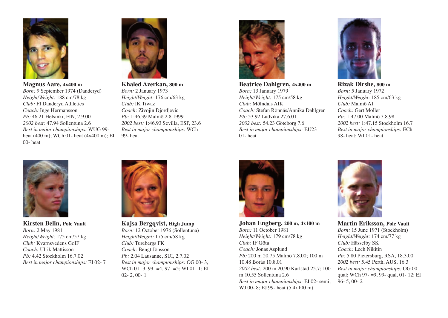

**Magnus Aare, 4x400 m** *Born:* 9 September 1974 (Danderyd) *Height/Weight:* 188 cm/78 kg *Club:* FI Danderyd Athletics *Coach:* Inge Hermansson *Pb:* 46.21 Helsinki, FIN, 2.9.00 *2002 best:* 47.94 Sollentuna 2.6 *Best in major championships:* WUG 99 heat (400 m); WCh 01- heat (4x400 m); EI 00- heat



**Khaled Azerkan, 800 m** *Born:* 2 January 1973 *Height/Weight:* 176 cm/63 kg *Club:* IK Tiwaz *Coach:* Zivojin Djordjevic *Pb:* 1:46.39 Malmö 2.8.1999 *2002 best:* 1:46.93 Sevilla, ESP, 23.6 *Best in major championships:* WCh 99- heat



**Beatrice Dahlgren, 4x400 m** *Born:* 13 January 1979 *Height/Weight:* 175 cm/58 kg *Club:* Mölndals AIK *Coach:* Stefan Rönnäs/Annika Dahlgren *Pb:* 53.92 Ludvika 27.6.01 *2002 best:* 54.23 Göteborg 7.6 *Best in major championships:* EU23 01- heat



**Rizak Dirshe, 800 m** *Born:* 5 January 1972 *Height/Weight:* 185 cm/63 kg *Club:* Malmö AI *Coach:* Gert Möller *Pb:* 1:47.00 Malmö 3.8.98 *2002 best:* 1:47.15 Stockholm 16.7 *Best in major championships:* ECh 98- heat; WI 01- heat



**Kirsten Belin, Pole Vault** *Born:* 2 May 1981 *Height/Weight:* 175 cm/57 kg *Club:* Kvarnsvedens GoIF *Coach:* Ulrik Mattisson *Pb:* 4.42 Stockholm 16.7.02 *Best in major championships:* EI 02- 7



**Kajsa Bergqvist, High Jump** *Born:* 12 October 1976 (Sollentuna) *Height/Weight:* 175 cm/58 kg *Club:* Turebergs FK *Coach:* Bengt Jönsson *Pb:* 2.04 Lausanne, SUI, 2.7.02 *Best in major championships:* OG 00- 3, WCh 01- 3, 99- = 4, 97- = 5; WI 01- 1: EI 02- 2, 00- 1



**Johan Engberg, 200 m, 4x100 m** *Born:* 11 October 1981 *Height/Weight:* 179 cm/78 kg *Club:* IF Göta *Coach:* Jonas Asplund *Pb:* 200 m 20.75 Malmö 7.8.00; 100 m 10.48 Borås 10.8.01 *2002 best:* 200 m 20.90 Karlstad 25.7; 100 m 10.55 Sollentuna 2.6 *Best in major championships:* EI 02- semi; WJ 00- 8; EJ 99- heat (5 4x100 m)



**Martin Eriksson, Pole Vault** *Born:* 15 June 1971 (Stockholm) *Height/Weight:* 174 cm/77 kg *Club:* Hässelby SK *Coach:* Lech Nikitin *Pb:* 5.80 Pietersburg, RSA, 18.3.00 *2002 best:* 5.45 Perth, AUS, 16.3 *Best in major championships:* OG 00 qual; WCh 97- =9, 99- qual, 01- 12; EI 96- 5, 00- 2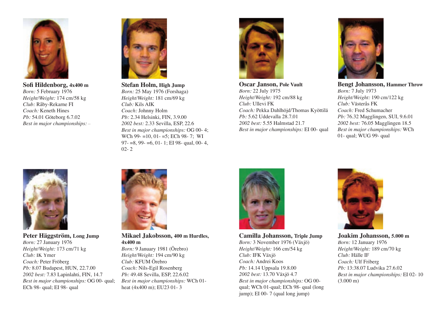

**Sofi Hildenborg, 4x400 m** *Born:* 5 February 1976 *Height/Weight:* 174 cm/58 kg *Club:* Råby-Rekarne FI *Coach:* Keneth Hines *Pb:* 54.01 Göteborg 6.7.02 *Best in major championships:* –



**Stefan Holm, High Jump** *Born:* 25 May 1976 (Forshaga) *Height/Weight:* 181 cm/69 kg *Club:* Kils AIK *Coach:* Johnny Holm *Pb:* 2.34 Helsinki, FIN, 3.9.00 *2002 best:* 2.33 Sevilla, ESP, 22.6 *Best in major championships:* OG 00- 4; WCh 99- =10, 01- =5; ECh 98- 7; WI 97- =8, 99- =6, 01- 1; EI 98- qual, 00- 4,  $02 - 2$ 



**Oscar Janson, Pole Vault** *Born:* 22 July 1975 *Height/Weight:* 192 cm/88 kg *Club:* Ullevi FK *Coach:* Pekka Dahlhöjd/Thomas Kyöttilä *Pb:* 5.62 Uddevalla 28.7.01 *2002 best:* 5.55 Halmstad 21.7 *Best in major championships:* EI 00- qual



**Bengt Johansson, Hammer Throw** *Born:* 7 July 1973 *Height/Weight:* 190 cm/122 kg *Club:* Västerås FK *Coach:* Fred Schumacher *Pb:* 76.32 Magglingen, SUI, 9.6.01 *2002 best:* 76.05 Magglingen 18.5 *Best in major championships:* WCh 01- qual; WUG 99- qual



**Peter Häggström, Long Jump** *Born:* 27 January 1976 *Height/Weight:* 173 cm/71 kg *Club:* IK Ymer *Coach:* Peter Fröberg *Pb:* 8.07 Budapest, HUN, 22.7.00 *2002 best:* 7.83 Lapinlahti, FIN, 14.7 *Best in major championships:* OG 00- qual; ECh 98- qual; EI 98- qual



**Mikael Jakobsson, 400 m Hurdles, 4x400 m**

*Born:* 9 January 1981 (Örebro) *Height/Weight:* 194 cm/90 kg *Club:* KFUM Örebro *Coach:* Nils-Egil Rosenberg *Pb:* 49.48 Sevilla, ESP, 22.6.02 *Best in major championships:* WCh 01 heat (4x400 m); EU23 01- 3



**Camilla Johansson, Triple Jump** *Born:* 3 November 1976 (Växjö) *Height/Weight:* 166 cm/54 kg *Club:* IFK Växjö *Coach:* Andrei Koos *Pb:* 14.14 Uppsala 19.8.00 *2002 best:* 13.70 Växjö 4.7 *Best in major championships:* OG 00 qual; WCh 01-qual; ECh 98- qual (long jump); EI 00- 7 (qual long jump)



**Joakim Johansson, 5.000 m** *Born:* 12 January 1976 *Height/Weight:* 189 cm/70 kg *Club:* Hälle IF *Coach:* Ulf Friberg *Pb:* 13:38.07 Ludvika 27.6.02 *Best in major championships:* EI 02- 10 (3.000 m)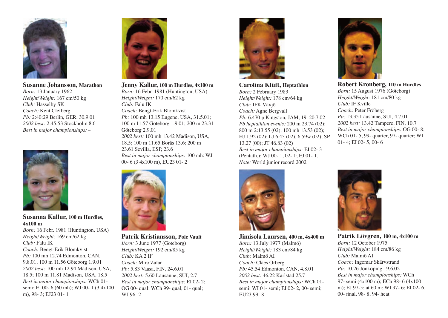

**Susanne Johansson, Marathon** *Born:* 13 January 1962 *Height/Weight:* 167 cm/50 kg *Club:* Hässelby SK *Coach:* Kent Clefberg *Pb:* 2:40:29 Berlin, GER, 30.9.01 *2002 best:* 2:45:53 Stockholm 8.6 *Best in major championships:* –



**Susanna Kallur, 100 m Hurdles, 4x100 m**

*Born:* 16 Febr. 1981 (Huntington, USA) *Height/Weight:* 169 cm/62 kg *Club:* Falu IK *Coach:* Bengt-Erik Blomkvist *Pb:* 100 mh 12.74 Edmonton, CAN, 9.8.01; 100 m 11.56 Göteborg 1.9.01 *2002 best:* 100 mh 12.94 Madison, USA, 18.5; 100 m 11.81 Madison, USA, 18.5 *Best in major championships:* WCh 01 semi; EI 00- 6 (60 mh); WJ 00- 1 (3 4x100 m), 98- 3; EJ23 01- 1



**Jenny Kallur, 100 m Hurdles, 4x100 m** *Born:* 16 Febr. 1981 (Huntington, USA)

*Height/Weight:* 170 cm/62 kg *Club:* Falu IK *Coach:* Bengt-Erik Blomkvist *Pb:* 100 mh 13.15 Eugene, USA, 31.5.01; 100 m 11.57 Göteborg 1.9.01; 200 m 23.31 Göteborg 2.9.01 *2002 best:* 100 mh 13.42 Madison, USA, 18.5; 100 m 11.65 Borås 13.6; 200 m 23.61 Sevilla, ESP, 23.6 *Best in major championships:* 100 mh: WJ 00- 6 (3 4x100 m), EU23 01- 2



**Patrik Kristiansson, Pole Vault** *Born:* 3 June 1977 (Göteborg) *Height/Weight:* 192 cm/85 kg *Club:* KA 2 IF *Coach:* Miro Zalar *Pb:* 5.83 Vaasa, FIN, 24.6.01 *2002 best:* 5.60 Lausanne, SUI, 2.7 *Best in major championships:* EI 02- 2; OG 00- qual; WCh 99- qual, 01- qual; WJ 96- 2



**Carolina Klüft, Heptathlon** *Born:* 2 February 1983 *Height/Weight:* 178 cm/64 kg *Club:* IFK Växjö *Coach:* Agne Bergvall *Pb:* 6.470 p Kingston, JAM, 19–20.7.02 *Pb heptathlon events:* 200 m 23.74 (02); 800 m 2:13.55 (02); 100 mh 13.53 (02); HJ 1.92 (02); LJ 6.43 (02), 6.59w (02); SP 13.27 (00); JT 46.83 (02) *Best in major championships:* EI 02- 3 (Pentath.); WJ 00- 1, 02- 1; EJ 01- 1. *Note:* World junior record 2002



#### **Jimisola Laursen, 400 m, 4x400 m**

*Born:* 13 July 1977 (Malmö) *Height/Weight:* 183 cm/84 kg *Club:* Malmö AI *Coach:* Claes Örberg *Pb:* 45.54 Edmonton, CAN, 4.8.01 *2002 best:* 46.22 Karlstad 25.7 *Best in major championships:* WCh 01 semi; WI 01- semi; EI 02- 2, 00- semi; EU23 99- 8



**Robert Kronberg, 110 m Hurdles** *Born:* 15 August 1976 (Göteborg) *Height/Weight:* 181 cm/80 kg *Club:* IF Kville *Coach:* Peter Fröberg *Pb:* 13.35 Lausanne, SUI, 4.7.01 *2002 best:* 13.42 Tampere, FIN, 10.7 *Best in major championships:* OG 00- 8; WCh 01- 5, 99- quarter, 97- quarter; WI 01- 4; EI 02- 5, 00- 6



**Patrik Lövgren, 100 m, 4x100 m** *Born:* 12 October 1975 *Height/Weight:* 184 cm/86 kg *Club:* Malmö AI *Coach:* Ingemar Skärvstrand *Pb:* 10.26 Jönköping 19.6.02 *Best in major championships:* WCh 97- semi (4x100 m); ECh 98- 6 (4x100 m); EJ 97-5; at 60 m: WI 97- 6; EI 02- 6, 00- final, 98-8, 94- heat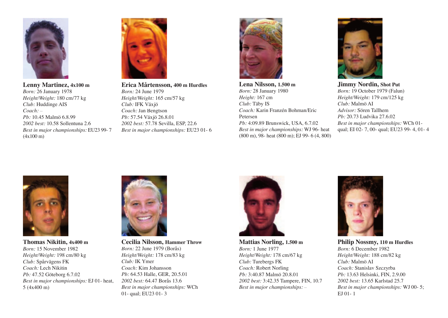

**Lenny Martinez, 4x100 m** *Born:* 26 January 1978 *Height/Weight:* 180 cm/77 kg *Club:* Huddinge AIS *Coach:* – *Pb:* 10.45 Malmö 6.8.99 *2002 best:* 10.58 Sollentuna 2.6 *Best in major championships:* EU23 99- 7 (4x100 m)



**Erica Mårtensson, 400 m Hurdles** *Born:* 24 June 1979 *Height/Weight:* 165 cm/57 kg *Club:* IFK Växjö *Coach:* Jan Bengtson *Pb:* 57.54 Växjö 26.8.01 *2002 best:* 57.78 Sevilla, ESP, 22.6 *Best in major championships:* EU23 01- 6



**Lena Nilsson, 1.500 m** *Born:* 28 January 1980 *Height:* 167 cm *Club:* Täby IS *Coach:* Karin Franzén Bohman/Eric Petersen *Pb:* 4:09.89 Brunswick, USA, 6.7.02 *Best in major championships:* WJ 96- heat (800 m), 98- heat (800 m); EJ 99- 6 (4, 800)



**Jimmy Nordin, Shot Put** *Born:* 19 October 1979 (Falun) *Height/Weight:* 179 cm/125 kg *Club:* Malmö AI *Advisor:* Sören Tallhem *Pb:* 20.73 Ludvika 27.6.02 *Best in major championships:* WCh 01 qual; EI 02- 7, 00- qual; EU23 99- 4, 01- 4



**Thomas Nikitin, 4x400 m** *Born:* 15 November 1982 *Height/Weight:* 198 cm/80 kg *Club:* Spårvägens FK *Coach:* Lech Nikitin *Pb:* 47.52 Göteborg 6.7.02 *Best in major championships:* EJ 01- heat, 5 (4x400 m)



**Cecilia Nilsson, Hammer Throw** *Born:* 22 June 1979 (Borås) *Height/Weight:* 178 cm/83 kg *Club:* IK Ymer *Coach:* Kim Johansson *Pb:* 64.53 Halle, GER, 20.5.01 *2002 best:* 64.47 Borås 13.6 *Best in major championships:* WCh 01- qual; EU23 01- 3



**Mattias Norling, 1.500 m** *Born:* 1 June 1977 *Height/Weight:* 178 cm/67 kg *Club:* Turebergs FK *Coach:* Robert Norling *Pb:* 3:40.87 Malmö 20.8.01 *2002 best:* 3:42.35 Tampere, FIN, 10.7 *Best in major championships:* –



**Philip Nossmy, 110 m Hurdles** *Born:* 6 December 1982 *Height/Weight:* 188 cm/82 kg *Club:* Malmö AI *Coach:* Stanislav Szczyrba *Pb:* 13.63 Helsinki, FIN, 2.9.00 *2002 best:* 13.65 Karlstad 25.7 *Best in major championships:* WJ 00- 5; EJ 01- 1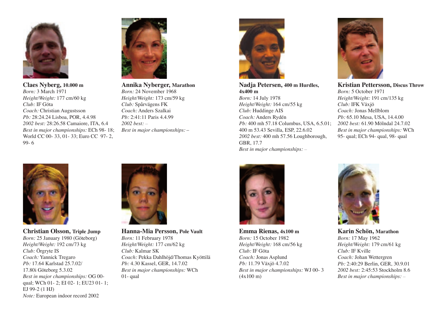

**Claes Nyberg, 10.000 m** *Born:* 3 March 1971 *Height/Weight:* 177 cm/60 kg *Club:* IF Göta *Coach:* Christian Augustsson *Pb:* 28:24.24 Lisboa, POR, 4.4.98 *2002 best:* 28:26.58 Camaiore, ITA, 6.4 *Best in major championships:* ECh 98- 18; World CC 00- 33, 01- 33; Euro CC 97- 2, 99- 6



**Annika Nyberger, Marathon** *Born:* 24 November 1968 *Height/Weight:* 173 cm/59 kg *Club:* Spårvägens FK *Coach:* Anders Szalkai *Pb:* 2:41:11 Paris 4.4.99 *2002 best:* – *Best in major championships:* –



**Nadja Petersen, 400 m Hurdles, 4x400 m** *Born:* 14 July 1978 *Height/Weight:* 164 cm/55 kg *Club:* Huddinge AIS *Coach:* Anders Rydén *Pb:* 400 mh 57.18 Columbus, USA, 6.5.01; 400 m 53.43 Sevilla, ESP, 22.6.02 *2002 best:* 400 mh 57.56 Loughborough, GBR, 17.7 *Best in major championships:* –



**Kristian Pettersson, Discus Throw** *Born:* 5 October 1971 *Height/Weight:* 191 cm/135 kg *Club:* IFK Växjö *Coach:* Jonas Mellblom *Pb:* 65.10 Mesa, USA, 14.4.00

*2002 best:* 61.90 Mölndal 24.7.02 *Best in major championships:* WCh 95- qual; ECh 94- qual, 98- qual



**Christian Olsson, Triple Jump** *Born:* 25 January 1980 (Göteborg) *Height/Weight:* 192 cm/73 kg *Club:* Örgryte IS *Coach:* Yannick Tregaro *Pb:* 17.64 Karlstad 25.7.02/ 17.80i Göteborg 5.3.02 *Best in major championships:* OG 00 qual; WCh 01- 2; EI 02- 1; EU23 01- 1; EJ 99-2 (1 HJ) *Note:* European indoor record 2002



**Hanna-Mia Persson, Pole Vault** *Born:* 11 February 1978 *Height/Weight:* 177 cm/62 kg *Club:* Kalmar SK *Coach:* Pekka Dahlhöjd/Thomas Kyöttilä *Pb:* 4.30 Kassel, GER, 14.7.02 *Best in major championships:* WCh 01- qual



**Emma Rienas, 4x100 m** *Born:* 15 October 1982 *Height/Weight:* 168 cm/56 kg *Club:* IF Göta *Coach:* Jonas Asplund *Pb:* 11.79 Växjö 4.7.02 *Best in major championships:* WJ 00- 3 (4x100 m)



**Karin Schön, Marathon** *Born:* 17 May 1962 *Height/Weight:* 179 cm/61 kg *Club:* IF Kville *Coach:* Johan Wettergren *Pb:* 2:40:29 Berlin, GER, 30.9.01 *2002 best:* 2:45:53 Stockholm 8.6 *Best in major championships:* –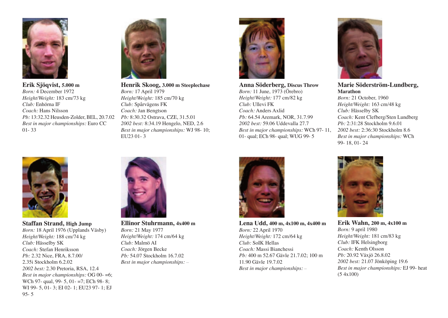

**Erik Sjöqvist, 5.000 m** *Born:* 4 December 1972 *Height/Weight:* 183 cm/73 kg *Club:* Enhörna IF *Coach:* Hans Nilsson *Pb:* 13:32.32 Heusden-Zolder, BEL, 20.7.02 *Best in major championships:* Euro CC 01- 33



**Staffan Strand, High Jump** *Born:* 18 April 1976 (Upplands Väsby) *Height/Weight:* 188 cm/74 kg *Club:* Hässelby SK *Coach:* Stefan Henriksson *Pb:* 2.32 Nice, FRA, 8.7.00/ 2.35i Stockholm 6.2.02 *2002 best:* 2.30 Pretoria, RSA, 12.4 *Best in major championships:* OG 00- =6; WCh 97- qual, 99- 5, 01- =7; ECh 98- 8; WI 99- 5, 01- 3; EI 02- 1; EU23 97- 1; EJ 95- 5



**Henrik Skoog, 3.000 m Steeplechase** *Born:* 17 April 1979 *Height/Weight:* 185 cm/70 kg *Club:* Spårvägens FK *Coach:* Jan Bengtson *Pb:* 8:30.32 Ostrava, CZE, 31.5.01 *2002 best:* 8:34.19 Hengelo, NED, 2.6 *Best in major championships:* WJ 98- 10; EU23 01- 3



**Anna Söderberg, Discus Throw** *Born:* 11 June, 1973 (Örebro) *Height/Weight:* 177 cm/82 kg *Club:* Ullevi FK *Coach:* Anders Axlid *Pb:* 64.54 Aremark, NOR, 31.7.99 *2002 best:* 59.06 Uddevalla 27.7 *Best in major championships:* WCh 97- 11, 01- qual; ECh 98- qual; WUG 99- 5



**Marie Söderström-Lundberg, Marathon** *Born:* 21 October, 1960 *Height/Weight:* 163 cm/48 kg *Club:* Hässelby SK *Coach:* Kent Clefberg/Sten Lundberg *Pb:* 2:31:28 Stockholm 9.6.01 *2002 best:* 2:36:30 Stockholm 8.6 *Best in major championships:* WCh 99- 18, 01- 24



**Ellinor Stuhrmann, 4x400 m** *Born:* 21 May 1977 *Height/Weight:* 174 cm/64 kg *Club:* Malmö AI *Coach:* Jörgen Becke *Pb:* 54.07 Stockholm 16.7.02 *Best in major championships:* –



**Lena Udd, 400 m, 4x100 m, 4x400 m** *Born:* 22 April 1970 *Height/Weight:* 172 cm/64 kg *Club:* SoIK Hellas *Coach:* Massi Bianchessi *Pb:* 400 m 52.67 Gävle 21.7.02; 100 m 11.90 Gävle 19.7.02 *Best in major championships:* –



**Erik Wahn, 200 m, 4x100 m** *Born:* 9 april 1980 *Height/Weight:* 181 cm/83 kg *Club:* IFK Helsingborg *Coach:* Kenth Olsson *Pb:* 20.92 Växjö 26.8.02 *2002 best:* 21.07 Jönköping 19.6 *Best in major championships:* EJ 99- heat (5 4x100)